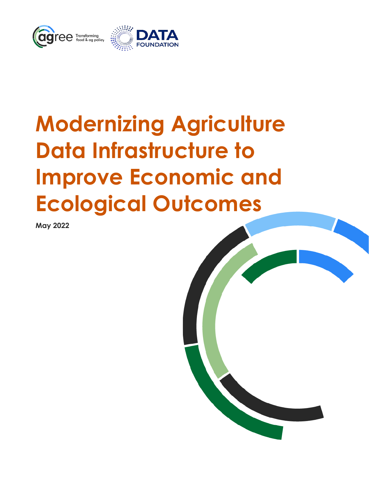

# **Modernizing Agriculture Data Infrastructure to Improve Economic and Ecological Outcomes**

**May 2022**

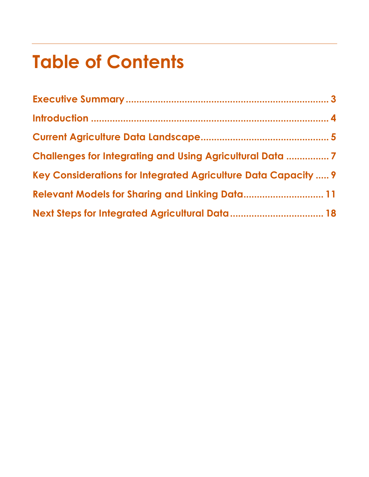## **Table of Contents**

| <b>Challenges for Integrating and Using Agricultural Data 7</b> |  |
|-----------------------------------------------------------------|--|
| Key Considerations for Integrated Agriculture Data Capacity  9  |  |
| <b>Relevant Models for Sharing and Linking Data 11</b>          |  |
|                                                                 |  |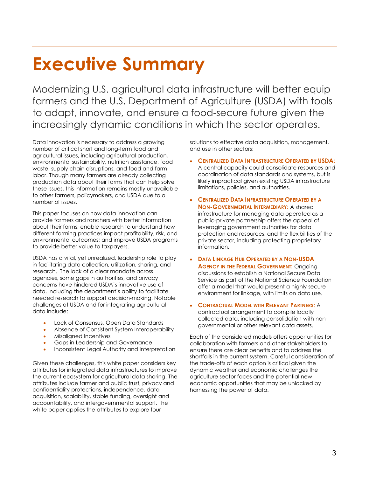## **Executive Summary**

Modernizing U.S. agricultural data infrastructure will better equip farmers and the U.S. Department of Agriculture (USDA) with tools to adapt, innovate, and ensure a food-secure future given the increasingly dynamic conditions in which the sector operates.

Data innovation is necessary to address a growing number of critical short and long-term food and agricultural issues, including agricultural production, environmental sustainability, nutrition assistance, food waste, supply chain disruptions, and food and farm labor. Though many farmers are already collecting production data about their farms that can help solve these issues, this information remains mostly unavailable to other farmers, policymakers, and USDA due to a number of issues.

This paper focuses on how data innovation can provide farmers and ranchers with better information about their farms; enable research to understand how different farming practices impact profitability, risk, and environmental outcomes; and improve USDA programs to provide better value to taxpayers.

USDA has a vital, yet unrealized, leadership role to play in facilitating data collection, utilization, sharing, and research. The lack of a clear mandate across agencies, some gaps in authorities, and privacy concerns have hindered USDA's innovative use of data, including the department's ability to facilitate needed research to support decision-making. Notable challenges at USDA and for integrating agricultural data include:

- Lack of Consensus, Open Data Standards
- Absence of Consistent System Interoperability
- Misaligned Incentives
- Gaps in Leadership and Governance
- Inconsistent Legal Authority and Interpretation

Given these challenges, this white paper considers key attributes for integrated data infrastructures to improve the current ecosystem for agricultural data sharing. The attributes include farmer and public trust, privacy and confidentiality protections, independence, data acquisition, scalability, stable funding, oversight and accountability, and intergovernmental support. The white paper applies the attributes to explore four

solutions to effective data acquisition, management, and use in other sectors:

- **CENTRALIZED DATA INFRASTRUCTURE OPERATED BY USDA:** A central capacity could consolidate resources and coordination of data standards and systems, but is likely impractical given existing USDA infrastructure limitations, policies, and authorities.
- **CENTRALIZED DATA INFRASTRUCTURE OPERATED BY A NON-GOVERNMENTAL INTERMEDIARY:** A shared infrastructure for managing data operated as a public-private partnership offers the appeal of leveraging government authorities for data protection and resources, and the flexibilities of the private sector, including protecting proprietary information.
- **DATA LINKAGE HUB OPERATED BY A NON-USDA AGENCY IN THE FEDERAL GOVERNMENT: Ongoing** discussions to establish a National Secure Data Service as part of the National Science Foundation offer a model that would present a highly secure environment for linkage, with limits on data use.
- **CONTRACTUAL MODEL WITH RELEVANT PARTNERS:** A contractual arrangement to compile locally collected data, including consolidation with nongovernmental or other relevant data assets.

Each of the considered models offers opportunities for collaboration with farmers and other stakeholders to ensure there are clear benefits and to address the shortfalls in the current system. Careful consideration of the trade-offs of each option is critical given the dynamic weather and economic challenges the agriculture sector faces and the potential new economic opportunities that may be unlocked by harnessing the power of data.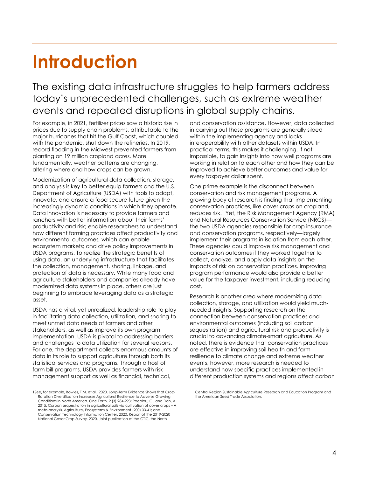## **Introduction**

The existing data infrastructure struggles to help farmers address today's unprecedented challenges, such as extreme weather events and repeated disruptions in global supply chains.

For example, in 2021, fertilizer prices saw a historic rise in prices due to supply chain problems, attributable to the major hurricanes that hit the Gulf Coast, which coupled with the pandemic, shut down the refineries. In 2019, record flooding in the Midwest prevented farmers from planting on 19 million cropland acres. More fundamentally, weather patterns are changing, altering where and how crops can be grown.

Modernization of agricultural data collection, storage, and analysis is key to better equip farmers and the U.S. Department of Agriculture (USDA) with tools to adapt, innovate, and ensure a food-secure future given the increasingly dynamic conditions in which they operate. Data innovation is necessary to provide farmers and ranchers with better information about their farms' productivity and risk; enable researchers to understand how different farming practices affect productivity and environmental outcomes, which can enable ecosystem markets; and drive policy improvements in USDA programs. To realize the strategic benefits of using data, an underlying infrastructure that facilitates the collection, management, sharing, linkage, and protection of data is necessary. While many food and agriculture stakeholders and companies already have modernized data systems in place, others are just beginning to embrace leveraging data as a strategic asset.

USDA has a vital, yet unrealized, leadership role to play in facilitating data collection, utilization, and sharing to meet unmet data needs of farmers and other stakeholders, as well as improve its own program implementation. USDA is pivotal to addressing barriers and challenges to data utilization for several reasons. For one, the department collects enormous amounts of data in its role to support agriculture through both its statistical services and programs. Through a host of farm bill programs, USDA provides farmers with risk management support as well as financial, technical,

<span id="page-3-0"></span>1See, for example, Bowles, T.M. et al. 2020. Long-Term Evidence Shows that Crop-Rotation Diversification Increases Agricultural Resilience to Adverse Growing Conditions in North America. One Earth. 2 (3) 284-293; Poeplau, C., and Don, A. 2015. Carbon sequestration in agricultural soils via cultivation of cover crops – A meta-analysis. Agriculture, Ecosystems & Environment (200) 33-41; and Conservation Technology Information Center. 2020. Report of the 2019-2020 National Cover Crop Survey. 2020. Joint publication of the CTIC, the North

and conservation assistance. However, data collected in carrying out these programs are generally siloed within the implementing agency and lacks interoperability with other datasets within USDA. In practical terms, this makes it challenging, if not impossible, to gain insights into how well programs are working in relation to each other and how they can be improved to achieve better outcomes and value for every taxpayer dollar spent.

One prime example is the disconnect between conservation and risk management programs. A growing body of research is finding that implementing conservation practices, like cover crops on cropland, reduces risk[.1](#page-3-0) Yet, the Risk Management Agency (RMA) and Natural Resources Conservation Service (NRCS)–– the two USDA agencies responsible for crop insurance and conservation programs, respectively––largely implement their programs in isolation from each other. These agencies could improve risk management and conservation outcomes if they worked together to collect, analyze, and apply data insights on the impacts of risk on conservation practices. Improving program performance would also provide a better value for the taxpayer investment, including reducing cost.

Research is another area where modernizing data collection, storage, and utilization would yield muchneeded insights. Supporting research on the connection between conservation practices and environmental outcomes (including soil carbon sequestration) and agricultural risk and productivity is crucial to advancing climate-smart agriculture. As noted, there is evidence that conservation practices are effective in improving soil health and farm resilience to climate change and extreme weather events, however, more research is needed to understand how specific practices implemented in different production systems and regions affect carbon

Central Region Sustainable Agriculture Research and Education Program and the American Seed Trade Association.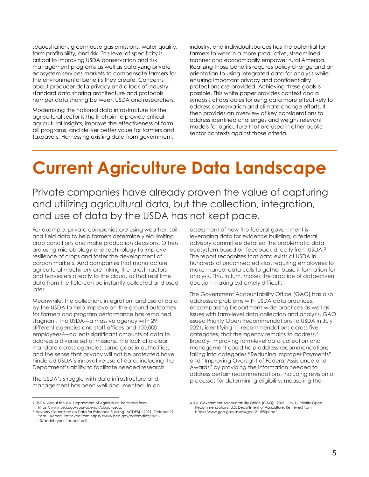sequestration, greenhouse gas emissions, water quality, farm profitability, and risk. This level of specificity is critical to improving USDA conservation and risk management programs as well as catalyzing private ecosystem services markets to compensate farmers for the environmental benefits they create. Concerns about producer data privacy and a lack of industrystandard data sharing architecture and protocols hamper data sharing between USDA and researchers.

Modernizing the national data infrastructure for the agricultural sector is the linchpin to provide critical agricultural insights, improve the effectiveness of farm bill programs, and deliver better value for farmers and taxpayers. Harnessing existing data from government, industry, and individual sources has the potential for farmers to work in a more productive, streamlined manner and economically empower rural America. Realizing those benefits requires policy change and an orientation to using integrated data for analysis while ensuring important privacy and confidentiality protections are provided. Achieving these goals is possible. This white paper provides context and a synopsis of obstacles for using data more effectively to address conservation and climate change efforts. It then provides an overview of key considerations to address identified challenges and weighs relevant models for agriculture that are used in other public sector contexts against those criteria.

## **Current Agriculture Data Landscape**

Private companies have already proven the value of capturing and utilizing agricultural data, but the collection, integration, and use of data by the USDA has not kept pace.

For example, private companies are using weather, soil, and field data to help farmers determine yield-limiting crop conditions and make production decisions. Others are using microbiology and technology to improve resilience of crops and foster the development of carbon markets. And companies that manufacture agricultural machinery are linking the latest tractors and harvesters directly to the cloud, so that real time data from the field can be instantly collected and used later.

Meanwhile, the collection, integration, and use of data by the USDA to help improve on-the-ground outcomes for farmers and program performance has remained stagnant. The USDA––a massive agency with 29 different agencies and staff offices and 100,000 employees[2–](#page-4-0)–collects significant amounts of data to address a diverse set of missions. The lack of a clear mandate across agencies, some gaps in authorities, and the sense that privacy will not be protected have hindered USDA's innovative use of data, including the Department's ability to facilitate needed research.

The USDA's struggle with data infrastructure and management has been well documented. In an assessment of how the federal government is leveraging data for evidence building, a federal advisory committee detailed the problematic data ecosystem based on feedback directly from USDA.[3](#page-4-1) The report recognizes that data exists at USDA in hundreds of unconnected silos, requiring employees to make manual data calls to gather basic information for analysis. This, in turn, makes the practice of data-driven decision-making extremely difficult.

The Government Accountability Office (GAO) has also addressed problems with USDA data practices, encompassing Department-wide practices as well as issues with farm-level data collection and analysis. GAO issued Priority Open Recommendations to USDA in July 2021, identifying 11 recommendations across five categories, that the agency remains to address.[4](#page-4-0) Broadly, improving farm-level data collection and management could help address recommendations falling into categories "Reducing Improper Payments" and "Improving Oversight of Federal Assistance and Awards" by providing the information needed to address certain recommendations, including revision of processes for determining eligibility, measuring the

<span id="page-4-0"></span><sup>2</sup> USDA. About the U.S. Department of Agriculture. Retrieved from https://www.usda.gov/our-agency/about-usda.

<span id="page-4-1"></span><sup>3</sup> Advisory Committee on Data for Evidence Building (ACDEB). (2021, October 29). Year 1 Report. Retrieved fro[m https://www.bea.gov/system/files/2021-](https://www.bea.gov/system/files/2021-10/acdeb-year-1-report.pdf) [10/acdeb-year-1-report.pdf.](https://www.bea.gov/system/files/2021-10/acdeb-year-1-report.pdf) 

<sup>4</sup> U.S. Government Accountability Office (GAO). (2021, July 1). Priority Open Recommendations: U.S. Department of Agriculture. Retrieved from https://www.gao.gov/assets/gao-21-590pr.pdf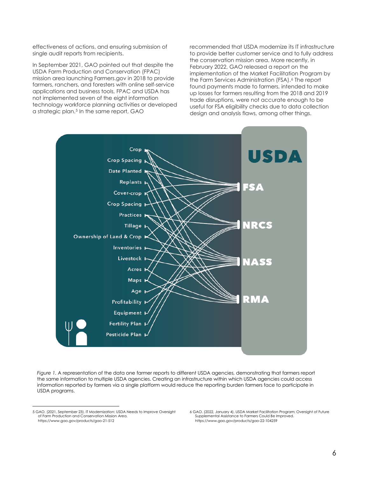effectiveness of actions, and ensuring submission of single audit reports from recipients.

In September 2021, GAO pointed out that despite the USDA Farm Production and Conservation (FPAC) mission area launching Farmers.gov in 2018 to provide farmers, ranchers, and foresters with online self-service applications and business tools, FPAC and USDA has not implemented seven of the eight information technology workforce planning activities or developed a strategic plan.<sup>[5](#page-5-0)</sup> In the same report, GAO

recommended that USDA modernize its IT infrastructure to provide better customer service and to fully address the conservation mission area. More recently, in February 2022, GAO released a report on the implementation of the Market Facilitation Program by the Farm Services Administration (FSA).<sup>[6](#page-5-0)</sup> The report found payments made to farmers, intended to make up losses for farmers resulting from the 2018 and 2019 trade disruptions, were not accurate enough to be useful for FSA eligibility checks due to data collection design and analysis flaws, among other things.



*Figure 1.* A representation of the data one farmer reports to different USDA agencies, demonstrating that farmers report the same information to multiple USDA agencies. Creating an infrastructure within which USDA agencies could access information reported by farmers via a single platform would reduce the reporting burden farmers face to participate in USDA programs.

<span id="page-5-0"></span><sup>5</sup> GAO. (2021, September 23). IT Modernization: USDA Needs to Improve Oversight of Farm Production and Conservation Mission Area. https://www.gao.gov/products/gao-21-512

<sup>6</sup> GAO. (2022, January 4). USDA Market Facilitation Program: Oversight of Future Supplemental Assistance to Farmers Could Be Improved. https://www.gao.gov/products/gao-22-104259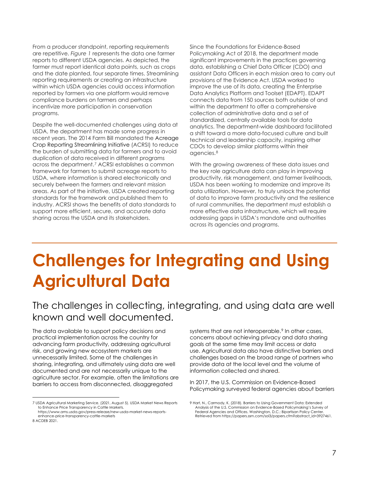From a producer standpoint, reporting requirements are repetitive. *Figure 1* represents the data one farmer reports to different USDA agencies. As depicted, the farmer must report identical data points, such as crops and the date planted, four separate times. Streamlining reporting requirements or creating an infrastructure within which USDA agencies could access information reported by farmers via one platform would remove compliance burdens on farmers and perhaps incentivize more participation in conservation programs.

Despite the well-documented challenges using data at USDA, the department has made some progress in recent years. The 2014 Farm Bill mandated the Acreage Crop Reporting Streamlining Initiative (ACRSI) to reduce the burden of submitting data for farmers and to avoid duplication of data received in different programs across the department.[7](#page-6-0) ACRSI establishes a common framework for farmers to submit acreage reports to USDA, where information is shared electronically and securely between the farmers and relevant mission areas. As part of the initiative, USDA created reporting standards for the framework and published them to industry. ACRSI shows the benefits of data standards to support more efficient, secure, and accurate data sharing across the USDA and its stakeholders.

Since the Foundations for Evidence-Based Policymaking Act of 2018, the department made significant improvements in the practices governing data, establishing a Chief Data Officer (CDO) and assistant Data Officers in each mission area to carry out provisions of the Evidence Act. USDA worked to improve the use of its data, creating the Enterprise Data Analytics Platform and Toolset (EDAPT). EDAPT connects data from 150 sources both outside of and within the department to offer a comprehensive collection of administrative data and a set of standardized, centrally available tools for data analytics. The department-wide dashboard facilitated a shift toward a more data-focused culture and built technical and leadership capacity, inspiring other CDOs to develop similar platforms within their agencies.[8](#page-6-1)

With the growing awareness of these data issues and the key role agriculture data can play in improving productivity, risk management, and farmer livelihoods, USDA has been working to modernize and improve its data utilization. However, to truly unlock the potential of data to improve farm productivity and the resilience of rural communities, the department must establish a more effective data infrastructure, which will require addressing gaps in USDA's mandate and authorities across its agencies and programs.

### **Challenges for Integrating and Using Agricultural Data**

### The challenges in collecting, integrating, and using data are well known and well documented.

The data available to support policy decisions and practical implementation across the country for advancing farm productivity, addressing agricultural risk, and growing new ecosystem markets are unnecessarily limited. Some of the challenges in sharing, integrating, and ultimately using data are well documented and are not necessarily unique to the agriculture sector. For example, often the limitations are barriers to access from disconnected, disaggregated

systems that are not interoperable.<sup>[9](#page-6-0)</sup> In other cases, concerns about achieving privacy and data sharing goals at the same time may limit access or data use. Agricultural data also have distinctive barriers and challenges based on the broad range of partners who provide data at the local level and the volume of information collected and shared**.** 

In 2017, the U.S. Commission on Evidence-Based Policymaking surveyed federal agencies about barriers

<span id="page-6-0"></span><sup>7</sup> USDA Agricultural Marketing Service. (2021, August 5). USDA Market News Reports to Enhance Price Transparency in Cattle Markets. https://www.ams.usda.gov/press-release/new-usda-market-news-reports-

<span id="page-6-1"></span>enhance-price-transparency-cattle-markets 8 ACDEB 2021.

<sup>9</sup> Hart, N., Carmody, K. (2018). Barriers to Using Government Data: Extended Analysis of the U.S. Commission on Evidence-Based Policymaking's Survey of Federal Agencies and Offices. Washington, D.C.: Bipartisan Policy Center. Retrieved fro[m https://papers.ssrn.com/sol3/papers.cfm?abstract\\_id=3927461.](https://papers.ssrn.com/sol3/papers.cfm?abstract_id=3927461)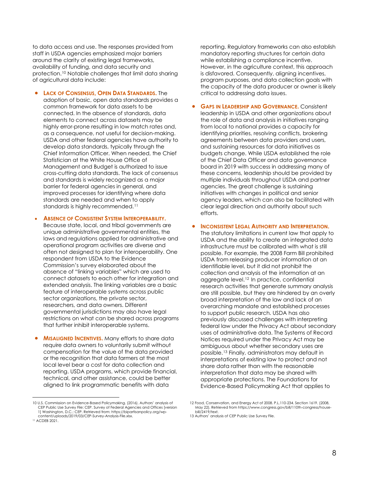to data access and use. The responses provided from staff in USDA agencies emphasized major barriers around the clarity of existing legal frameworks, availability of funding, and data security and protection.[10](#page-7-0) Notable challenges that limit data sharing of agricultural data include:

#### **LACK OF CONSENSUS, OPEN DATA STANDARDS.** The

adoption of basic, open data standards provides a common framework for data assets to be connected. In the absence of standards, data elements to connect across datasets may be highly error-prone resulting in low match rates and, as a consequence, not useful for decision-making. USDA and other federal agencies have authority to develop data standards, typically through the Chief Information Officer. When needed, the Chief Statistician at the White House Office of Management and Budget is authorized to issue cross-cutting data standards. The lack of consensus and standards is widely recognized as a major barrier for federal agencies in general, and improved processes for identifying where data standards are needed and when to apply standards is highly recommended.<sup>[11](#page-7-1)</sup>

#### **ABSENCE OF CONSISTENT SYSTEM INTEROPERABILITY.**

Because state, local, and tribal governments are unique administrative governmental entities, the laws and regulations applied for administrative and operational program activities are diverse and often not designed to plan for interoperability. One respondent from USDA to the Evidence Commission's survey elaborated about the absence of "linking variables" which are used to connect datasets to each other for integration and extended analysis. The linking variables are a basic feature of interoperable systems across public sector organizations, the private sector, researchers, and data owners. Different governmental jurisdictions may also have legal restrictions on what can be shared across programs that further inhibit interoperable systems.

**MISALIGNED INCENTIVES.** Many efforts to share data require data owners to voluntarily submit without compensation for the value of the data provided or the recognition that data farmers at the most local level bear a cost for data collection and reporting. USDA programs, which provide financial, technical, and other assistance, could be better aligned to link programmatic benefits with data

<span id="page-7-2"></span><span id="page-7-1"></span><span id="page-7-0"></span>10 U.S. Commission on Evidence-Based Policymaking. (2016). Authors' analysis of CEP Public Use Survey File: CEP. Survey of Federal Agencies and Offices [version 1] Washington, D.C.: CEP. Retrieved from[: https://bipartisanpolicy.org/wp](https://bipartisanpolicy.org/wp-content/uploads/2019/03/CEP-Survey-Analysis-File.xlsx)[content/uploads/2019/03/CEP-Survey-Analysis-File.xlsx.](https://bipartisanpolicy.org/wp-content/uploads/2019/03/CEP-Survey-Analysis-File.xlsx) 11 ACDEB 2021.

reporting. Regulatory frameworks can also establish mandatory reporting structures for certain data while establishing a compliance incentive. However, in the agriculture context, this approach is disfavored. Consequently, aligning incentives, program purposes, and data collection goals with the capacity of the data producer or owner is likely critical to addressing data issues.

**GAPS IN LEADERSHIP AND GOVERNANCE.** Consistent leadership in USDA and other organizations about the role of data and analysis in initiatives ranging from local to national provides a capacity for identifying priorities, resolving conflicts, brokering agreements between data providers and users, and sustaining resources for data initiatives as budgets change. While USDA established the role of the Chief Data Officer and data governance board in 2019 with success in addressing many of these concerns, leadership should be provided by multiple individuals throughout USDA and partner agencies. The great challenge is sustaining initiatives with changes in political and senior agency leaders, which can also be facilitated with clear legal direction and authority about such efforts.

#### **INCONSISTENT LEGAL AUTHORITY AND INTERPRETATION.**

The statutory limitations in current law that apply to USDA and the ability to create an integrated data infrastructure must be calibrated with what is still possible. For example, the 2008 Farm Bill prohibited USDA from releasing producer information at an identifiable level, but it did not prohibit the collection and analysis of the information at an aggregate level.[12](#page-7-0) In practice, confidential research activities that generate summary analysis are still possible, but they are hindered by an overly broad interpretation of the law and lack of an overarching mandate and established processes to support public research. USDA has also previously discussed challenges with interpreting federal law under the Privacy Act about secondary uses of administrative data. The Systems of Record Notices required under the Privacy Act may be ambiguous about whether secondary uses are possible.[13](#page-7-2) Finally, administrators may default in interpretations of existing law to protect and not share data rather than with the reasonable interpretation that data may be shared with appropriate protections. The Foundations for Evidence-Based Policymaking Act that applies to

<sup>12</sup> Food, Conservation, and Energy Act of 2008. P.L.110-234. Section 1619. (2008, May 22). Retrieved fro[m https://www.congress.gov/bill/110th-congress/house](https://www.congress.gov/bill/110th-congress/house-bill/2419/text)[bill/2419/text.](https://www.congress.gov/bill/110th-congress/house-bill/2419/text) 

<sup>13</sup> Authors' analysis of CEP Public Use Survey File.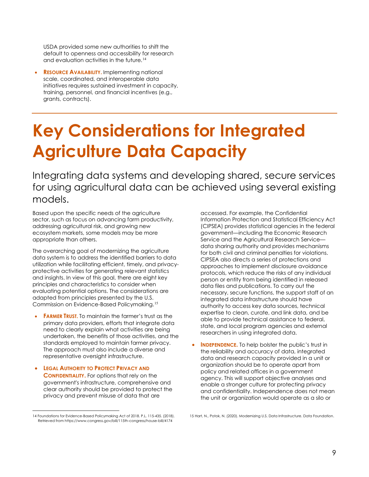USDA provided some new authorities to shift the default to openness and accessibility for research and evaluation activities in the future.<sup>[14](#page-8-0)</sup>

**RESOURCE AVAILABILITY.** Implementing national scale, coordinated, and interoperable data initiatives requires sustained investment in capacity, training, personnel, and financial incentives (e.g., grants, contracts).

## **Key Considerations for Integrated Agriculture Data Capacity**

Integrating data systems and developing shared, secure services for using agricultural data can be achieved using several existing models.

Based upon the specific needs of the agriculture sector, such as focus on advancing farm productivity, addressing agricultural risk, and growing new ecosystem markets, some models may be more appropriate than others.

The overarching goal of modernizing the agriculture data system is to address the identified barriers to data utilization while facilitating efficient, timely, and privacyprotective activities for generating relevant statistics and insights. In view of this goal, there are eight key principles and characteristics to consider when evaluating potential options. The considerations are adapted from principles presented by the U.S. Commission on Evidence-Based Policymaking.[15](#page-8-0)

- **FARMER TRUST.** To maintain the farmer's trust as the primary data providers, efforts that integrate data need to clearly explain what activities are being undertaken, the benefits of those activities, and the standards employed to maintain farmer privacy. The approach must also include a diverse and representative oversight infrastructure.
- **LEGAL AUTHORITY TO PROTECT PRIVACY AND CONFIDENTIALITY.** For options that rely on the government's infrastructure, comprehensive and clear authority should be provided to protect the privacy and prevent misuse of data that are

accessed. For example, the Confidential Information Protection and Statistical Efficiency Act (CIPSEA) provides statistical agencies in the federal government––including the Economic Research Service and the Agricultural Research Service–– data sharing authority and provides mechanisms for both civil and criminal penalties for violations. CIPSEA also directs a series of protections and approaches to implement disclosure avoidance protocols, which reduce the risks of any individual person or entity from being identified in released data files and publications. To carry out the necessary, secure functions, the support staff of an integrated data infrastructure should have authority to access key data sources, technical expertise to clean, curate, and link data, and be able to provide technical assistance to federal, state, and local program agencies and external researchers in using integrated data.

**INDEPENDENCE.** To help bolster the public's trust in the reliability and accuracy of data, integrated data and research capacity provided in a unit or organization should be to operate apart from policy and related offices in a government agency. This will support objective analyses and enable a stronger culture for protecting privacy and confidentiality. Independence does not mean the unit or organization would operate as a silo or

15 Hart, N., Potok, N. (2020). Modernizing U.S. Data Infrastructure. Data Foundation.

<span id="page-8-0"></span><sup>14</sup> Foundations for Evidence-Based Policymaking Act of 2018. P.L. 115-435. (2018). Retrieved from https://www.congress.gov/bill/115th-congress/house-bill/4174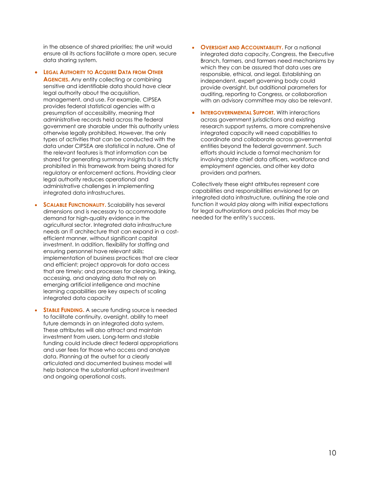in the absence of shared priorities; the unit would ensure all its actions facilitate a more open, secure data sharing system.

**LEGAL AUTHORITY TO ACQUIRE DATA FROM OTHER** 

**AGENCIES.** Any entity collecting or combining sensitive and identifiable data should have clear legal authority about the acquisition, management, and use. For example, CIPSEA provides federal statistical agencies with a presumption of accessibility, meaning that administrative records held across the federal government are sharable under this authority unless otherwise legally prohibited. However, the only types of activities that can be conducted with the data under CIPSEA are statistical in nature. One of the relevant features is that information can be shared for generating summary insights but is strictly prohibited in this framework from being shared for regulatory or enforcement actions. Providing clear legal authority reduces operational and administrative challenges in implementing integrated data infrastructures.

- **SCALABLE FUNCTIONALITY.** Scalability has several dimensions and is necessary to accommodate demand for high-quality evidence in the agricultural sector. Integrated data infrastructure needs an IT architecture that can expand in a costefficient manner, without significant capital investment. In addition, flexibility for staffing and ensuring personnel have relevant skills; implementation of business practices that are clear and efficient; project approvals for data access that are timely; and processes for cleaning, linking, accessing, and analyzing data that rely on emerging artificial intelligence and machine learning capabilities are key aspects of scaling integrated data capacity
- **STABLE FUNDING.** A secure funding source is needed to facilitate continuity, oversight, ability to meet future demands in an integrated data system. These attributes will also attract and maintain investment from users. Long-term and stable funding could include direct federal appropriations and user fees for those who access and analyze data. Planning at the outset for a clearly articulated and documented business model will help balance the substantial upfront investment and ongoing operational costs.
- **OVERSIGHT AND ACCOUNTABILITY.** For a national integrated data capacity, Congress, the Executive Branch, farmers, and farmers need mechanisms by which they can be assured that data uses are responsible, ethical, and legal. Establishing an independent, expert governing body could provide oversight, but additional parameters for auditing, reporting to Congress, or collaboration with an advisory committee may also be relevant.
- **INTERGOVERNMENTAL SUPPORT.** With interactions across government jurisdictions and existing research support systems, a more comprehensive integrated capacity will need capabilities to coordinate and collaborate across governmental entities beyond the federal government. Such efforts should include a formal mechanism for involving state chief data officers, workforce and employment agencies, and other key data providers and partners.

Collectively these eight attributes represent core capabilities and responsibilities envisioned for an integrated data infrastructure, outlining the role and function it would play along with initial expectations for legal authorizations and policies that may be needed for the entity's success.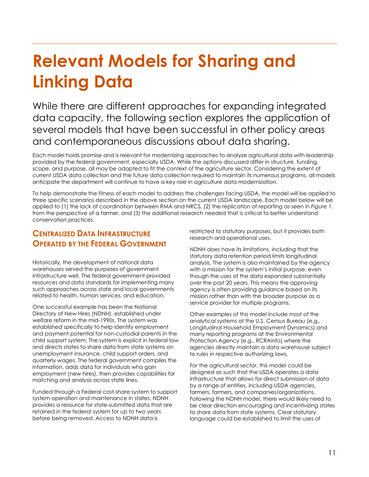### **Relevant Models for Sharing and Linking Data**

While there are different approaches for expanding integrated data capacity, the following section explores the application of several models that have been successful in other policy areas and contemporaneous discussions about data sharing.

Each model holds promise and is relevant for modernizing approaches to analyze agricultural data with leadership provided by the federal government, especially USDA. While the options discussed differ in structure, funding, scope, and purpose, all may be adapted to fit the context of the agriculture sector. Considering the extent of current USDA data collection and the future data collection required to maintain its numerous programs, all models anticipate the department will continue to have a key role in agriculture data modernization.

To help demonstrate the fitness of each model to address the challenges facing USDA, the model will be applied to three specific scenarios described in the above section on the current USDA landscape. Each model below will be applied to (1) the lack of coordination between RMA and NRCS, (2) the replication of reporting as seen in *Figure 1.* from the perspective of a farmer, and (3) the additional research needed that is critical to better understand conservation practices.

### **CENTRALIZED DATA INFRASTRUCTURE OPERATED BY THE FEDERAL GOVERNMENT**

Historically, the development of national data warehouses served the purposes of government infrastructure well. The federal government provided resources and data standards for implementing many such approaches across state and local governments related to health, human services, and education.

One successful example has been the National Directory of New Hires (NDNH), established under welfare reform in the mid-1990s. The system was established specifically to help identify employment and payment potential for non-custodial parents in the child support system. The system is explicit in federal law and directs states to share data from state systems on unemployment insurance, child support orders, and quarterly wages. The federal government compiles the information, adds data for individuals who gain employment (new hires), then provides capabilities for matching and analysis across state lines.

Funded through a Federal cost-share system to support system operation and maintenance in states, NDNH provides a resource for state-submitted data that are retained in the federal system for up to two years before being removed. Access to NDNH data is

restricted to statutory purposes, but it provides both research and operational uses.

NDNH does have its limitations, including that the statutory data retention period limits longitudinal analysis. The system is also maintained by the agency with a mission for the system's initial purpose, even though the uses of the data expanded substantially over the past 20 years. This means the approving agency is often providing guidance based on its mission rather than with the broader purpose as a service provider for multiple programs.

Other examples of this model include most of the analytical systems at the U.S. Census Bureau (e.g., Longitudinal Household Employment Dynamics) and many reporting programs at the Environmental Protection Agency (e.g., RCRAinfo) where the agencies directly maintain a data warehouse subject to rules in respective authorizing laws.

For the agricultural sector, this model could be designed as such that the USDA operates a data infrastructure that allows for direct submission of data by a range of entities, including USDA agencies, farmers, farmers, and companies/organizations. Following the NDNH model, there would likely need to be clear direction encouraging and incentivizing states to share data from state systems. Clear statutory language could be established to limit the uses of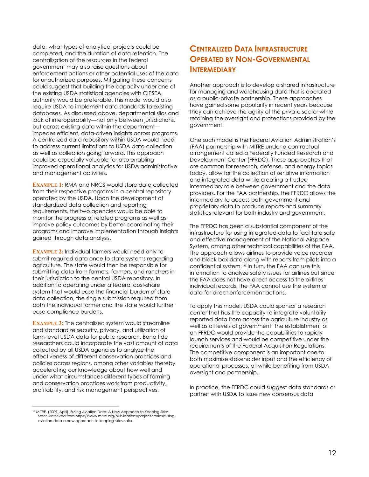data, what types of analytical projects could be completed, and the duration of data retention. The centralization of the resources in the federal government may also raise questions about enforcement actions or other potential uses of the data for unauthorized purposes. Mitigating these concerns could suggest that building the capacity under one of the existing USDA statistical agencies with CIPSEA authority would be preferable. This model would also require USDA to implement data standards to existing databases. As discussed above, departmental silos and lack of interoperability––not only between jurisdictions, but across existing data within the department–– impedes efficient, data-driven insights across programs. A centralized data repository within USDA would need to address current limitations to USDA data collection as well as collection going forward. This approach could be especially valuable for also enabling improved operational analytics for USDA administrative and management activities.

**EXAMPLE 1:** RMA and NRCS would store data collected from their respective programs in a central repository operated by the USDA. Upon the development of standardized data collection and reporting requirements, the two agencies would be able to monitor the progress of related programs as well as improve policy outcomes by better coordinating their programs and improve implementation through insights gained through data analysis.

**EXAMPLE 2:** Individual farmers would need only to submit required data once to state systems regarding agriculture. The state would then be responsible for submitting data from farmers, farmers, and ranchers in their jurisdiction to the central USDA repository. In addition to operating under a federal cost-share system that would ease the financial burden of state data collection, the single submission required from both the individual farmer and the state would further ease compliance burdens.

**EXAMPLE 3:** The centralized system would streamline and standardize security, privacy, and utilization of farm-level USDA data for public research. Bona fide researchers could incorporate the vast amount of data collected by all USDA agencies to analyze the effectiveness of different conservation practices and policies across regions, among other variables thereby accelerating our knowledge about how well and under what circumstances different types of farming and conservation practices work from productivity, profitability, and risk management perspectives.

<span id="page-11-0"></span>16 MITRE. (2009, April). Fusing Aviation Data: A New Approach to Keeping Skies Safer. Retrieved fro[m https://www.mitre.org/publications/project-stories/fusing](https://www.mitre.org/publications/project-stories/fusing-aviation-data-a-new-approach-to-keeping-skies-safer)[aviation-data-a-new-approach-to-keeping-skies-safer.](https://www.mitre.org/publications/project-stories/fusing-aviation-data-a-new-approach-to-keeping-skies-safer)

### **CENTRALIZED DATA INFRASTRUCTURE OPERATED BY NON-GOVERNMENTAL INTERMEDIARY**

Another approach is to develop a shared infrastructure for managing and warehousing data that is operated as a public-private partnership. These approaches have gained some popularity in recent years because they can achieve the agility of the private sector while retaining the oversight and protections provided by the government.

One such model is the Federal Aviation Administration's (FAA) partnership with MITRE under a contractual arrangement called a Federally Funded Research and Development Center (FFRDC). These approaches that are common for research, defense, and energy topics today, allow for the collection of sensitive information and integrated data while creating a trusted intermediary role between government and the data providers. For the FAA partnership, the FFRDC allows the intermediary to access both government and proprietary data to produce reports and summary statistics relevant for both industry and government.

The FFRDC has been a substantial component of the infrastructure for using integrated data to facilitate safe and effective management of the National Airspace System, among other technical capabilities of the FAA. The approach allows airlines to provide voice recorder and black box data along with reports from pilots into a confidential system.[16](#page-11-0) In turn, the FAA can use this information to analyze safety issues for airlines but since the FAA does not have direct access to the airlines' individual records, the FAA cannot use the system or data for direct enforcement actions.

To apply this model, USDA could sponsor a research center that has the capacity to integrate voluntarily reported data from across the agriculture industry as well as all levels of government. The establishment of an FFRDC would provide the capabilities to rapidly launch services and would be competitive under the requirements of the Federal Acquisition Regulations. The competitive component is an important one to both maximize stakeholder input and the efficiency of operational processes, all while benefiting from USDA oversight and partnership.

In practice, the FFRDC could suggest data standards or partner with USDA to issue new consensus data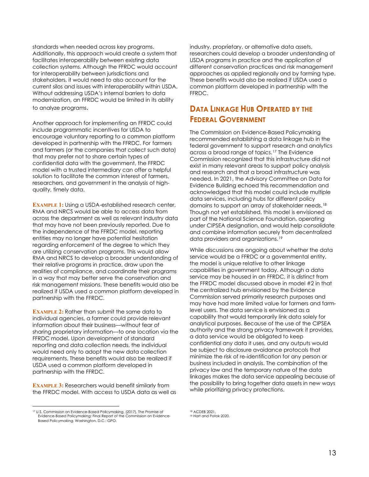standards when needed across key programs. Additionally, this approach would create a system that facilitates interoperability between existing data collection systems. Although the FFRDC would account for interoperability between jurisdictions and stakeholders, it would need to also account for the current silos and issues with interoperability within USDA. Without addressing USDA's internal barriers to data modernization, an FFRDC would be limited in its ability to analyze programs.

Another approach for implementing an FFRDC could include programmatic incentives for USDA to encourage voluntary reporting to a common platform developed in partnership with the FFRDC. For farmers and farmers (or the companies that collect such data) that may prefer not to share certain types of confidential data with the government, the FFRDC model with a trusted intermediary can offer a helpful solution to facilitate the common interest of farmers, researchers, and government in the analysis of highquality, timely data.

**EXAMPLE 1:** Using a USDA-established research center, RMA and NRCS would be able to access data from across the department as well as relevant industry data that may have not been previously reported. Due to the independence of the FFRDC model, reporting entities may no longer have potential hesitation regarding enforcement of the degree to which they are utilizing conservation programs. This would allow RMA and NRCS to develop a broader understanding of their relative programs in practice, draw upon the realities of compliance, and coordinate their programs in a way that may better serve the conservation and risk management missions. These benefits would also be realized if USDA used a common platform developed in partnership with the FFRDC.

**EXAMPLE 2:** Rather than submit the same data to individual agencies, a farmer could provide relevant information about their business––without fear of sharing proprietary information––to one location via the FFRDC model. Upon development of standard reporting and data collection needs, the individual would need only to adopt the new data collection requirements. These benefits would also be realized if USDA used a common platform developed in partnership with the FFRDC.

**EXAMPLE 3:** Researchers would benefit similarly from the FFRDC model. With access to USDA data as well as industry, proprietary, or alternative data assets, researchers could develop a broader understanding of USDA programs in practice and the application of different conservation practices and risk management approaches as applied regionally and by farming type. These benefits would also be realized if USDA used a common platform developed in partnership with the FFRDC.

### **DATA LINKAGE HUB OPERATED BY THE FEDERAL GOVERNMENT**

The Commission on Evidence-Based Policymaking recommended establishing a data linkage hub in the federal government to support research and analytics across a broad range of topics.[17](#page-12-0) The Evidence Commission recognized that this infrastructure did not exist in many relevant areas to support policy analysis and research and that a broad infrastructure was needed. In 2021, the Advisory Committee on Data for Evidence Building echoed this recommendation and acknowledged that this model could include multiple data services, including hubs for different policy domains to support an array of stakeholder needs.[18](#page-12-0) Though not yet established, this model is envisioned as part of the National Science Foundation, operating under CIPSEA designation, and would help consolidate and combine information securely from decentralized data providers and organizations.[19](#page-12-1)

While discussions are ongoing about whether the data service would be a FFRDC or a governmental entity, the model is unique relative to other linkage capabilities in government today. Although a data service may be housed in an FFRDC, it is distinct from the FFRDC model discussed above in model #2 in that the centralized hub envisioned by the Evidence Commission served primarily research purposes and may have had more limited value for farmers and farmlevel users. The data service is envisioned as a capability that would temporarily link data solely for analytical purposes. Because of the use of the CIPSEA authority and the strong privacy framework it provides, a data service would be obligated to keep confidential any data it uses, and any outputs would be subject to disclosure avoidance protocols that minimize the risk of re-identification for any person or business included in analysis. The combination of the privacy law and the temporary nature of the data linkages makes the data service appealing because of the possibility to bring together data assets in new ways while prioritizing privacy protections.

<sup>18</sup> ACDEB 2021.<br><sup>19</sup> Hart and Potok 2020.

<span id="page-12-1"></span><span id="page-12-0"></span><sup>17</sup> U.S. Commission on Evidence-Based Policymaking. (2017). The Promise of Evidence-Based Policymaking: Final Report of the Commission on Evidence-Based Policymaking. Washington, D.C.: GPO.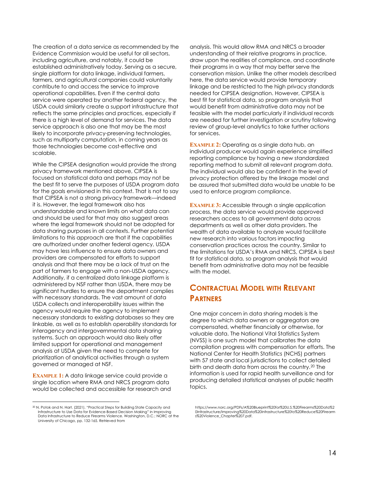The creation of a data service as recommended by the Evidence Commission would be useful for all sectors, including agriculture, and notably, it could be established administratively today. Serving as a secure, single platform for data linkage, individual farmers, farmers, and agricultural companies could voluntarily contribute to and access the service to improve operational capabilities. Even if the central data service were operated by another federal agency, the USDA could similarly create a support infrastructure that reflects the same principles and practices, especially if there is a high level of demand for services. The data service approach is also one that may be the most likely to incorporate privacy-preserving technologies, such as multiparty computation, in coming years as those technologies become cost-effective and scalable.

While the CIPSEA designation would provide the strong privacy framework mentioned above, CIPSEA is focused on statistical data and perhaps may not be the best fit to serve the purposes of USDA program data for the goals envisioned in this context. That is not to say that CIPSEA is not a strong privacy framework––indeed it is. However, the legal framework also has understandable and known limits on what data can and should be used for that may also suggest areas where the legal framework should not be adopted for data sharing purposes in all contexts. Further potential limitations to this approach are that if the capabilities are authorized under another federal agency, USDA may have less influence to ensure data owners and providers are compensated for efforts to support analysis and that there may be a lack of trust on the part of farmers to engage with a non-USDA agency. Additionally, if a centralized data linkage platform is administered by NSF rather than USDA, there may be significant hurdles to ensure the department complies with necessary standards. The vast amount of data USDA collects and interoperability issues within the agency would require the agency to implement necessary standards to existing databases so they are linkable, as well as to establish operability standards for interagency and intergovernmental data sharing systems. Such an approach would also likely offer limited support for operational and management analysis at USDA given the need to compete for prioritization of analytical activities through a system governed or managed at NSF.

**EXAMPLE 1:** A data linkage service could provide a single location where RMA and NRCS program data would be collected and accessible for research and analysis. This would allow RMA and NRCS a broader understanding of their relative programs in practice, draw upon the realities of compliance, and coordinate their programs in a way that may better serve the conservation mission. Unlike the other models described here, the data service would provide temporary linkage and be restricted to the high privacy standards needed for CIPSEA designation. However, CIPSEA is best fit for statistical data, so program analysis that would benefit from administrative data may not be feasible with the model particularly if individual records are needed for further investigation or scrutiny following review of group-level analytics to take further actions for services.

**EXAMPLE 2:** Operating as a single data hub, an individual producer would again experience simplified reporting compliance by having a new standardized reporting method to submit all relevant program data. The individual would also be confident in the level of privacy protection offered by the linkage model and be assured that submitted data would be unable to be used to enforce program compliance.

**EXAMPLE 3:** Accessible through a single application process, the data service would provide approved researchers access to all government data across departments as well as other data providers. The wealth of data available to analyze would facilitate new research into various factors impacting conservation practices across the country. Similar to the limitations for USDA's RMA and NRCS, CIPSEA is best fit for statistical data, so program analysis that would benefit from administrative data may not be feasible with the model.

### **CONTRACTUAL MODEL WITH RELEVANT PARTNERS**

One major concern in data sharing models is the degree to which data owners or aggregators are compensated, whether financially or otherwise, for valuable data. The National Vital Statistics System (NVSS) is one such model that calibrates the data compilation progress with compensation for efforts. The National Center for Health Statistics (NCHS) partners with 57 state and local jurisdictions to collect detailed birth and death data from across the country.[20](#page-13-0) The information is used for rapid health surveillance and for producing detailed statistical analyses of public health topics.

[https://www.norc.org/PDFs/A%20Blueprint%20for%20U.S.%20Firearms%20Data%2](https://www.norc.org/PDFs/A%20Blueprint%20for%20U.S.%20Firearms%20Data%20Infrastructure/Improving%20Data%20Infrastructure%20to%20Reduce%20Firearms%20Violence_Chapter%207.pdf) [0Infrastructure/Improving%20Data%20Infrastructure%20to%20Reduce%20Firearm](https://www.norc.org/PDFs/A%20Blueprint%20for%20U.S.%20Firearms%20Data%20Infrastructure/Improving%20Data%20Infrastructure%20to%20Reduce%20Firearms%20Violence_Chapter%207.pdf) [s%20Violence\\_Chapter%207.pdf.](https://www.norc.org/PDFs/A%20Blueprint%20for%20U.S.%20Firearms%20Data%20Infrastructure/Improving%20Data%20Infrastructure%20to%20Reduce%20Firearms%20Violence_Chapter%207.pdf)

<span id="page-13-0"></span><sup>&</sup>lt;sup>20</sup> N. Potok and N. Hart. (2021). "Practical Steps for Building State Capacity and Infrastructure to Use Data for Evidence-Based Decision Making" in Improving Data Infrastructure to Reduce Firearms Violence. Washington, D.C.: NORC at the University of Chicago, pp. 132-165. Retrieved from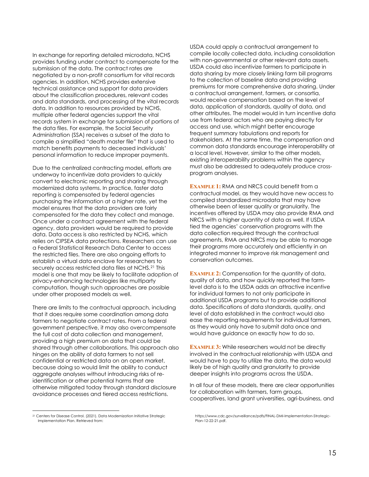In exchange for reporting detailed microdata, NCHS provides funding under contract to compensate for the submission of the data. The contract rates are negotiated by a non-profit consortium for vital records agencies. In addition, NCHS provides extensive technical assistance and support for data providers about the classification procedures, relevant codes and data standards, and processing of the vital records data. In addition to resources provided by NCHS, multiple other federal agencies support the vital records system in exchange for submission of portions of the data files. For example, the Social Security Administration (SSA) receives a subset of the data to compile a simplified "death master file" that is used to match benefits payments to deceased individuals' personal information to reduce improper payments.

Due to the centralized contracting model, efforts are underway to incentivize data providers to quickly convert to electronic reporting and sharing through modernized data systems. In practice, faster data reporting is compensated by federal agencies purchasing the information at a higher rate, yet the model ensures that the data providers are fairly compensated for the data they collect and manage. Once under a contract agreement with the federal agency, data providers would be required to provide data. Data access is also restricted by NCHS, which relies on CIPSEA data protections. Researchers can use a Federal Statistical Research Data Center to access the restricted files. There are also ongoing efforts to establish a virtual data enclave for researchers to securely access restricted data files at NCHS.<sup>[21](#page-14-0)</sup> This model is one that may be likely to facilitate adoption of privacy-enhancing technologies like multiparty computation, though such approaches are possible under other proposed models as well.

There are limits to the contractual approach, including that it does require some coordination among data farmers to negotiate contract rates. From a federal government perspective, it may also overcompensate the full cost of data collection and management, providing a high premium on data that could be shared through other collaborations. This approach also hinges on the ability of data farmers to not sell confidential or restricted data on an open market, because doing so would limit the ability to conduct aggregate analyses without introducing risks of reidentification or other potential harms that are otherwise mitigated today through standard disclosure avoidance processes and tiered access restrictions.

<span id="page-14-0"></span><sup>21</sup> Centers for Disease Control. (2021). Data Modernization Initiative Strategic Implementation Plan. Retrieved from:

USDA could apply a contractual arrangement to compile locally collected data, including consolidation with non-governmental or other relevant data assets. USDA could also incentivize farmers to participate in data sharing by more closely linking farm bill programs to the collection of baseline data and providing premiums for more comprehensive data sharing. Under a contractual arrangement, farmers, or consortia, would receive compensation based on the level of data, application of standards, quality of data, and other attributes. The model would in turn incentive data use from federal actors who are paying directly for access and use, which might better encourage frequent summary tabulations and reports for stakeholders. At the same time, the compensation and common data standards encourage interoperability at a local level. However, similar to the other models, existing interoperability problems within the agency must also be addressed to adequately produce crossprogram analyses.

**EXAMPLE 1:** RMA and NRCS could benefit from a contractual model, as they would have new access to compiled standardized microdata that may have otherwise been of lesser quality or granularity. The incentives offered by USDA may also provide RMA and NRCS with a higher quantity of data as well. If USDA tied the agencies' conservation programs with the data collection required through the contractual agreements, RMA and NRCS may be able to manage their programs more accurately and efficiently in an integrated manner to improve risk management and conservation outcomes.

**EXAMPLE 2:** Compensation for the quantity of data, quality of data, and how quickly reported the farmlevel data is to the USDA adds an attractive incentive for individual farmers to not only participate in additional USDA programs but to provide additional data. Specifications of data standards, quality, and level of data established in the contract would also ease the reporting requirements for individual farmers, as they would only have to submit data once and would have guidance on exactly how to do so.

**EXAMPLE 3:** While researchers would not be directly involved in the contractual relationship with USDA and would have to pay to utilize the data, the data would likely be of high quality and granularity to provide deeper insights into programs across the USDA.

In all four of these models, there are clear opportunities for collaboration with farmers, farm groups, cooperatives, land grant universities, agri-business, and

[https://www.cdc.gov/surveillance/pdfs/FINAL-DMI-Implementation-Strategic-](https://www.cdc.gov/surveillance/pdfs/FINAL-DMI-Implementation-Strategic-Plan-12-22-21.pdf)[Plan-12-22-21.pdf.](https://www.cdc.gov/surveillance/pdfs/FINAL-DMI-Implementation-Strategic-Plan-12-22-21.pdf)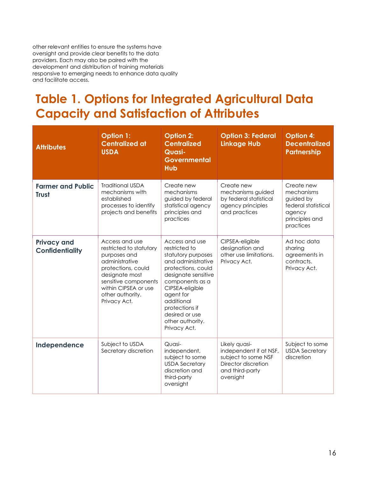other relevant entities to ensure the systems have oversight and provide clear benefits to the data providers. Each may also be paired with the development and distribution of training materials responsive to emerging needs to enhance data quality and facilitate access.

### **Table 1. Options for Integrated Agricultural Data Capacity and Satisfaction of Attributes**

| <b>Attributes</b>                            | <b>Option 1:</b><br><b>Centralized at</b><br><b>USDA</b>                                                                                                                                                | Option 2:<br><b>Centralized</b><br>Quasi-<br><b>Governmental</b><br><b>Hub</b>                                                                                                                                                                                    | <b>Option 3: Federal</b><br><b>Linkage Hub</b>                                                                        | <b>Option 4:</b><br><b>Decentralized</b><br><b>Partnership</b>                                        |
|----------------------------------------------|---------------------------------------------------------------------------------------------------------------------------------------------------------------------------------------------------------|-------------------------------------------------------------------------------------------------------------------------------------------------------------------------------------------------------------------------------------------------------------------|-----------------------------------------------------------------------------------------------------------------------|-------------------------------------------------------------------------------------------------------|
| <b>Farmer and Public</b><br><b>Trust</b>     | <b>Traditional USDA</b><br>mechanisms with<br>established<br>processes to identify<br>projects and benefits                                                                                             | Create new<br>mechanisms<br>guided by federal<br>statistical agency<br>principles and<br>practices                                                                                                                                                                | Create new<br>mechanisms guided<br>by federal statistical<br>agency principles<br>and practices                       | Create new<br>mechanisms<br>guided by<br>federal statistical<br>agency<br>principles and<br>practices |
| <b>Privacy and</b><br><b>Confidentiality</b> | Access and use<br>restricted to statutory<br>purposes and<br>administrative<br>protections, could<br>designate most<br>sensitive components<br>within CIPSEA or use<br>other authority.<br>Privacy Act. | Access and use<br>restricted to<br>statutory purposes<br>and administrative<br>protections, could<br>designate sensitive<br>components as a<br>CIPSEA-eligible<br>agent for<br>additional<br>protections if<br>desired or use<br>other authority.<br>Privacy Act. | CIPSEA-eligible<br>designation and<br>other use limitations.<br>Privacy Act.                                          | Ad hoc data<br>sharing<br>agreements in<br>contracts.<br>Privacy Act.                                 |
| Independence                                 | Subject to USDA<br>Secretary discretion                                                                                                                                                                 | Quasi-<br>independent,<br>subject to some<br><b>USDA Secretary</b><br>discretion and<br>third-party<br>oversight                                                                                                                                                  | Likely quasi-<br>independent if at NSF,<br>subject to some NSF<br>Director discretion<br>and third-party<br>oversight | Subject to some<br><b>USDA Secretary</b><br>discretion                                                |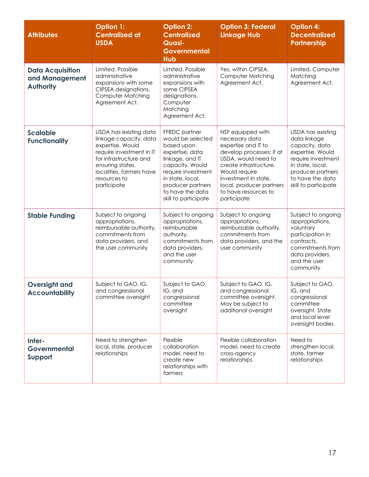| <b>Attributes</b>                                             | <b>Option 1:</b><br><b>Centralized at</b><br><b>USDA</b>                                                                                                                                                  | <b>Option 2:</b><br><b>Centralized</b><br><b>Quasi-</b><br><b>Governmental</b><br><b>Hub</b>                                                                                                                         | <b>Option 3: Federal</b><br><b>Linkage Hub</b>                                                                                                                                                                                                      | <b>Option 4:</b><br><b>Decentralized</b><br><b>Partnership</b>                                                                                                                     |
|---------------------------------------------------------------|-----------------------------------------------------------------------------------------------------------------------------------------------------------------------------------------------------------|----------------------------------------------------------------------------------------------------------------------------------------------------------------------------------------------------------------------|-----------------------------------------------------------------------------------------------------------------------------------------------------------------------------------------------------------------------------------------------------|------------------------------------------------------------------------------------------------------------------------------------------------------------------------------------|
| <b>Data Acquisition</b><br>and Management<br><b>Authority</b> | Limited. Possible<br>administrative<br>expansions with some<br>CIPSEA designations.<br><b>Computer Matching</b><br>Agreement Act.                                                                         | Limited. Possible<br>administrative<br>expansions with<br>some CIPSEA<br>designations.<br>Computer<br>Matching<br>Agreement Act.                                                                                     | Yes, within CIPSEA.<br>Computer Matching<br>Agreement Act.                                                                                                                                                                                          | Limited. Computer<br>Matching<br>Agreement Act.                                                                                                                                    |
| <b>Scalable</b><br><b>Functionality</b>                       | USDA has existing data<br>linkage capacity, data<br>expertise. Would<br>require investment in IT<br>for infrastructure and<br>ensuring states,<br>localities, farmers have<br>resources to<br>participate | FFRDC partner<br>would be selected<br>based upon<br>expertise, data<br>linkage, and IT<br>capacity. Would<br>require investment<br>in state, local,<br>producer partners<br>to have the data<br>skill to participate | NSF equipped with<br>necessary data<br>expertise and IT to<br>develop processes; if at<br>USDA, would need to<br>create infrastructure.<br>Would require<br>investment in state,<br>local, producer partners<br>to have resources to<br>participate | USDA has existing<br>data linkage<br>capacity, data<br>expertise. Would<br>require investment<br>in state, local,<br>producer partners<br>to have the data<br>skill to participate |
| <b>Stable Funding</b>                                         | Subject to ongoing<br>appropriations,<br>reimbursable authority,<br>commitments from<br>data providers, and<br>the user community                                                                         | Subject to ongoing<br>appropriations,<br>reimbursable<br>authority,<br>commitments from<br>data providers,<br>and the user<br>community                                                                              | Subject to ongoing<br>appropriations,<br>reimbursable authority,<br>commitments from<br>data providers, and the<br>user community                                                                                                                   | Subject to ongoing<br>appropriations,<br>voluntary<br>participation in<br>contracts,<br>commitments from<br>data providers,<br>and the user<br>community                           |
| <b>Oversight and</b><br><b>Accountability</b>                 | Subject to GAO, IG,<br>and congressional<br>committee oversight                                                                                                                                           | Subject to GAO,<br>IG, and<br>congressional<br>committee<br>oversight                                                                                                                                                | Subject to GAO, IG,<br>and congressional<br>committee oversight.<br>May be subject to<br>additional oversight                                                                                                                                       | Subject to GAO,<br>IG, and<br>congressional<br>committee<br>oversight. State<br>and local level<br>oversight bodies                                                                |
| Inter-<br><b>Governmental</b><br>Support                      | Need to strengthen<br>local, state, producer<br>relationships                                                                                                                                             | Flexible<br>collaboration<br>model, need to<br>create new<br>relationships with<br>farmers                                                                                                                           | Flexible collaboration<br>model, need to create<br>cross-agency<br>relationships                                                                                                                                                                    | Need to<br>strengthen local,<br>state, farmer<br>relationships                                                                                                                     |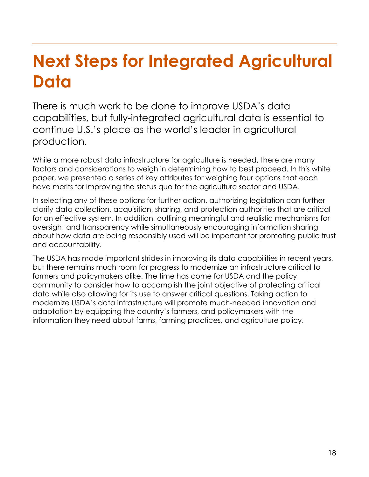## **Next Steps for Integrated Agricultural Data**

There is much work to be done to improve USDA's data capabilities, but fully-integrated agricultural data is essential to continue U.S.'s place as the world's leader in agricultural production.

While a more robust data infrastructure for agriculture is needed, there are many factors and considerations to weigh in determining how to best proceed. In this white paper, we presented a series of key attributes for weighing four options that each have merits for improving the status quo for the agriculture sector and USDA.

In selecting any of these options for further action, authorizing legislation can further clarify data collection, acquisition, sharing, and protection authorities that are critical for an effective system. In addition, outlining meaningful and realistic mechanisms for oversight and transparency while simultaneously encouraging information sharing about how data are being responsibly used will be important for promoting public trust and accountability.

The USDA has made important strides in improving its data capabilities in recent years, but there remains much room for progress to modernize an infrastructure critical to farmers and policymakers alike. The time has come for USDA and the policy community to consider how to accomplish the joint objective of protecting critical data while also allowing for its use to answer critical questions. Taking action to modernize USDA's data infrastructure will promote much-needed innovation and adaptation by equipping the country's farmers, and policymakers with the information they need about farms, farming practices, and agriculture policy.